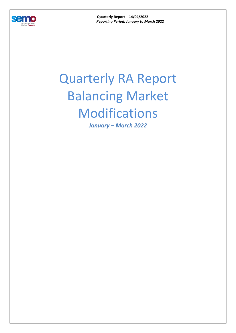

**Quarterly Report – 14/04/2022**  *Reporting Period: January to March 2022* 

## Quarterly RA Report Balancing Market Modifications

*January – March 2022*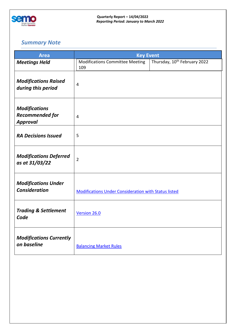

## *Summary Note*

| <b>Area</b>                                                       | <b>Key Event</b>                                            |                                          |  |
|-------------------------------------------------------------------|-------------------------------------------------------------|------------------------------------------|--|
| <b>Meetings Held</b>                                              | <b>Modifications Committee Meeting</b><br>109               | Thursday, 10 <sup>th</sup> February 2022 |  |
| <b>Modifications Raised</b><br>during this period                 | $\overline{4}$                                              |                                          |  |
| <b>Modifications</b><br><b>Recommended for</b><br><b>Approval</b> | $\overline{4}$                                              |                                          |  |
| <b>RA Decisions Issued</b>                                        | 5                                                           |                                          |  |
| <b>Modifications Deferred</b><br>as at 31/03/22                   | $\overline{2}$                                              |                                          |  |
| <b>Modifications Under</b><br><b>Consideration</b>                | <b>Modifications Under Consideration with Status listed</b> |                                          |  |
| <b>Trading &amp; Settlement</b><br>Code                           | Version 26.0                                                |                                          |  |
| <b>Modifications Currently</b><br>on baseline                     | <b>Balancing Market Rules</b>                               |                                          |  |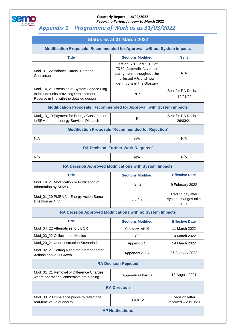

## **Quarterly Report – 14/04/2022**  *Reporting Period: January to March 2022*

## *Appendix 1 – Programme of Work as as 31/03/2022*

| Status as at 31 March 2022                                                                                                       |                                                                                                                                             |                                                   |  |  |  |
|----------------------------------------------------------------------------------------------------------------------------------|---------------------------------------------------------------------------------------------------------------------------------------------|---------------------------------------------------|--|--|--|
| <b>Modification Proposals 'Recommended for Approval' without System impacts</b>                                                  |                                                                                                                                             |                                                   |  |  |  |
| <b>Title</b>                                                                                                                     | <b>Sections Modified</b>                                                                                                                    | <b>Sent</b>                                       |  |  |  |
| Mod_01_22 Balance Surety_Demand<br>Guarantee                                                                                     | Section G 9.1.2 & 9.1.3 of<br>T&SC, Appendix A, various<br>paragraphs throughout the<br>affected APs and new<br>definitions in the Glossary | N/A                                               |  |  |  |
| Mod_14_21 Extension of System Service Flag<br>to include units providing Replacement<br>Reserve in line with the detailed design | N.2                                                                                                                                         | Sent for RA Decision<br>19/01/22                  |  |  |  |
| <b>Modification Proposals 'Recommended for Approval' with System impacts</b>                                                     |                                                                                                                                             |                                                   |  |  |  |
| Mod_13_19 Payment for Energy Consumption<br>in SEM for non-energy Services Dispatch                                              | F                                                                                                                                           | Sent for RA Decision<br>26/03/21                  |  |  |  |
| <b>Modification Proposals 'Recommended for Rejection'</b>                                                                        |                                                                                                                                             |                                                   |  |  |  |
| N/A                                                                                                                              | N/A                                                                                                                                         | N/A                                               |  |  |  |
| <b>RA Decision 'Further Work Required'</b>                                                                                       |                                                                                                                                             |                                                   |  |  |  |
| N/A                                                                                                                              | N/A                                                                                                                                         | N/A                                               |  |  |  |
| <b>RA Decision Approved Modifications with System Impacts</b>                                                                    |                                                                                                                                             |                                                   |  |  |  |
| <b>Title</b>                                                                                                                     | <b>Sections Modified</b>                                                                                                                    | <b>Effective Date</b>                             |  |  |  |
| Mod_19_21 Modification re Publication of<br>Information by SEMO                                                                  | <b>B.13</b>                                                                                                                                 | 9 February 2022                                   |  |  |  |
| Mod_01_20 PMEA No Energy Action Same<br>Direction as NIV                                                                         | E.3.4.2                                                                                                                                     | Trading day after<br>system changes take<br>place |  |  |  |
| RA Decision Approved Modifications with no System Impacts                                                                        |                                                                                                                                             |                                                   |  |  |  |
| <b>Title</b>                                                                                                                     | <b>Sections Modified</b>                                                                                                                    | <b>Effective Date</b>                             |  |  |  |
| Mod_04_22 Alternatives to LIBOR                                                                                                  | Glossary, AP15                                                                                                                              | 11 March 2022                                     |  |  |  |
| Mod_03_22 Collection of Monies                                                                                                   | G <sub>2</sub>                                                                                                                              | 14 March 2022                                     |  |  |  |
| Mod_20_21 Undo Instruction Scenario 2                                                                                            | Appendix O                                                                                                                                  | 14 March 2022                                     |  |  |  |
| Mod_02_21 Setting a flag for Interconnector<br>Actions above 500/Mwh                                                             | Appendix 2, F.2                                                                                                                             | 26 January 2022                                   |  |  |  |
| <b>RA Decision Rejected</b>                                                                                                      |                                                                                                                                             |                                                   |  |  |  |
| Mod_01_21 Removal of Difference Charges<br>where operational constraints are binding                                             | Appendices Part B                                                                                                                           | 13 August 2021                                    |  |  |  |
| <b>RA Direction</b>                                                                                                              |                                                                                                                                             |                                                   |  |  |  |
| Mod_08_20 Imbalance prices to reflect the<br>real-time value of energy                                                           | D.4.4.12                                                                                                                                    | Decision letter<br>received $-29/10/20$           |  |  |  |
| <b>AP Notifications</b>                                                                                                          |                                                                                                                                             |                                                   |  |  |  |